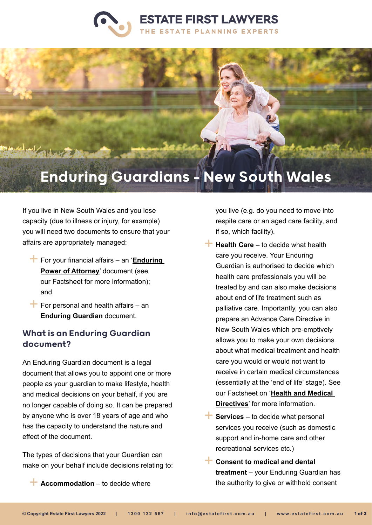



# Enduring Guardians - New South Wales

If you live in New South Wales and you lose capacity (due to illness or injury, for example) you will need two documents to ensure that your affairs are appropriately managed:

- For your financial affairs an '**[Enduring](https://www.estatefirst.com.au/estate-planning/enduring-powers-of-attorney)  [Power of Attorney](https://www.estatefirst.com.au/estate-planning/enduring-powers-of-attorney)**' document (see our Factsheet for more information); and
- $\overline{\phantom{a}}$  For personal and health affairs an **Enduring Guardian** document.

#### What is an Enduring Guardian document?

An Enduring Guardian document is a legal document that allows you to appoint one or more people as your guardian to make lifestyle, health and medical decisions on your behalf, if you are no longer capable of doing so. It can be prepared by anyone who is over 18 years of age and who has the capacity to understand the nature and effect of the document.

The types of decisions that your Guardian can make on your behalf include decisions relating to:

**Accommodation** – to decide where

you live (e.g. do you need to move into respite care or an aged care facility, and if so, which facility).

- **Health Care** to decide what health care you receive. Your Enduring Guardian is authorised to decide which health care professionals you will be treated by and can also make decisions about end of life treatment such as palliative care. Importantly, you can also prepare an Advance Care Directive in New South Wales which pre-emptively allows you to make your own decisions about what medical treatment and health care you would or would not want to receive in certain medical circumstances (essentially at the 'end of life' stage). See our Factsheet on '**[Health and Medical](https://www.estatefirst.com.au/estate-planning/advance-care-directives)  [Directives](https://www.estatefirst.com.au/estate-planning/advance-care-directives)**' for more information.
- **Services** to decide what personal services you receive (such as domestic support and in-home care and other recreational services etc.)
- **Consent to medical and dental treatment** – your Enduring Guardian has the authority to give or withhold consent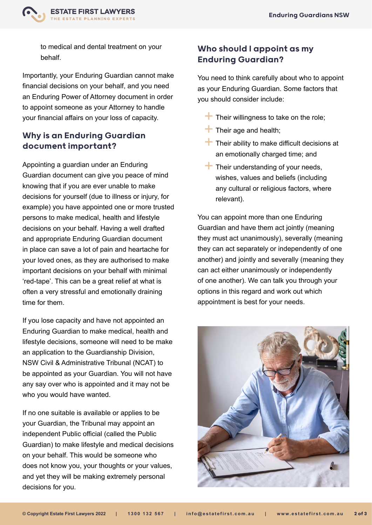

to medical and dental treatment on your behalf.

Importantly, your Enduring Guardian cannot make financial decisions on your behalf, and you need an Enduring Power of Attorney document in order to appoint someone as your Attorney to handle your financial affairs on your loss of capacity.

### Why is an Enduring Guardian document important?

Appointing a guardian under an Enduring Guardian document can give you peace of mind knowing that if you are ever unable to make decisions for yourself (due to illness or injury, for example) you have appointed one or more trusted persons to make medical, health and lifestyle decisions on your behalf. Having a well drafted and appropriate Enduring Guardian document in place can save a lot of pain and heartache for your loved ones, as they are authorised to make important decisions on your behalf with minimal 'red-tape'. This can be a great relief at what is often a very stressful and emotionally draining time for them.

If you lose capacity and have not appointed an Enduring Guardian to make medical, health and lifestyle decisions, someone will need to be make an application to the Guardianship Division, NSW Civil & Administrative Tribunal (NCAT) to be appointed as your Guardian. You will not have any say over who is appointed and it may not be who you would have wanted.

If no one suitable is available or applies to be your Guardian, the Tribunal may appoint an independent Public official (called the Public Guardian) to make lifestyle and medical decisions on your behalf. This would be someone who does not know you, your thoughts or your values, and yet they will be making extremely personal decisions for you.

## Who should I appoint as my Enduring Guardian?

You need to think carefully about who to appoint as your Enduring Guardian. Some factors that you should consider include:

- $\blacksquare$  Their willingness to take on the role;
- $\pm$  Their age and health;
- $\top$  Their ability to make difficult decisions at an emotionally charged time; and
- $\top$  Their understanding of your needs, wishes, values and beliefs (including any cultural or religious factors, where relevant).

You can appoint more than one Enduring Guardian and have them act jointly (meaning they must act unanimously), severally (meaning they can act separately or independently of one another) and jointly and severally (meaning they can act either unanimously or independently of one another). We can talk you through your options in this regard and work out which appointment is best for your needs.